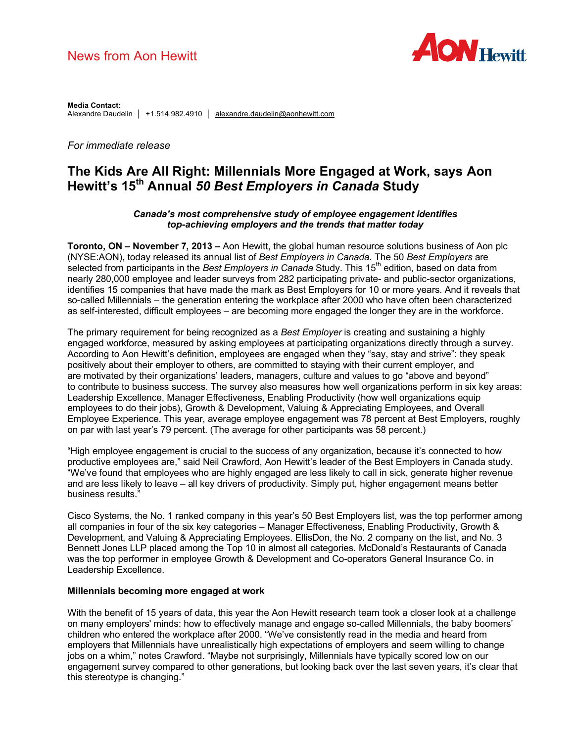# News from Aon Hewitt



**Media Contact:** Alexandre Daudelin │ +1.514.982.4910 │ alexandre.daudelin@aonhewitt.com

# *For immediate release*

# **The Kids Are All Right: Millennials More Engaged at Work, says Aon Hewitt's 15th Annual** *50 Best Employers in Canada* **Study**

#### *Canada's most comprehensive study of employee engagement identifies top-achieving employers and the trends that matter today*

**Toronto, ON – November 7, 2013 –** Aon Hewitt, the global human resource solutions business of Aon plc (NYSE:AON), today released its annual list of *Best Employers in Canada*. The 50 *Best Employers* are selected from participants in the *Best Employers in Canada* Study. This 15<sup>th</sup> edition, based on data from nearly 280,000 employee and leader surveys from 282 participating private- and public-sector organizations, identifies 15 companies that have made the mark as Best Employers for 10 or more years. And it reveals that so-called Millennials – the generation entering the workplace after 2000 who have often been characterized as self-interested, difficult employees – are becoming more engaged the longer they are in the workforce.

The primary requirement for being recognized as a *Best Employer* is creating and sustaining a highly engaged workforce, measured by asking employees at participating organizations directly through a survey. According to Aon Hewitt's definition, employees are engaged when they "say, stay and strive": they speak positively about their employer to others, are committed to staying with their current employer, and are motivated by their organizations' leaders, managers, culture and values to go "above and beyond" to contribute to business success. The survey also measures how well organizations perform in six key areas: Leadership Excellence, Manager Effectiveness, Enabling Productivity (how well organizations equip employees to do their jobs), Growth & Development, Valuing & Appreciating Employees, and Overall Employee Experience. This year, average employee engagement was 78 percent at Best Employers, roughly on par with last year's 79 percent. (The average for other participants was 58 percent.)

"High employee engagement is crucial to the success of any organization, because it's connected to how productive employees are," said Neil Crawford, Aon Hewitt's leader of the Best Employers in Canada study. "We've found that employees who are highly engaged are less likely to call in sick, generate higher revenue and are less likely to leave – all key drivers of productivity. Simply put, higher engagement means better business results.

Cisco Systems, the No. 1 ranked company in this year's 50 Best Employers list, was the top performer among all companies in four of the six key categories – Manager Effectiveness, Enabling Productivity, Growth & Development, and Valuing & Appreciating Employees. EllisDon, the No. 2 company on the list, and No. 3 Bennett Jones LLP placed among the Top 10 in almost all categories. McDonald's Restaurants of Canada was the top performer in employee Growth & Development and Co-operators General Insurance Co. in Leadership Excellence.

#### **Millennials becoming more engaged at work**

With the benefit of 15 years of data, this year the Aon Hewitt research team took a closer look at a challenge on many employers' minds: how to effectively manage and engage so-called Millennials, the baby boomers' children who entered the workplace after 2000. "We've consistently read in the media and heard from employers that Millennials have unrealistically high expectations of employers and seem willing to change jobs on a whim," notes Crawford. "Maybe not surprisingly, Millennials have typically scored low on our engagement survey compared to other generations, but looking back over the last seven years, it's clear that this stereotype is changing."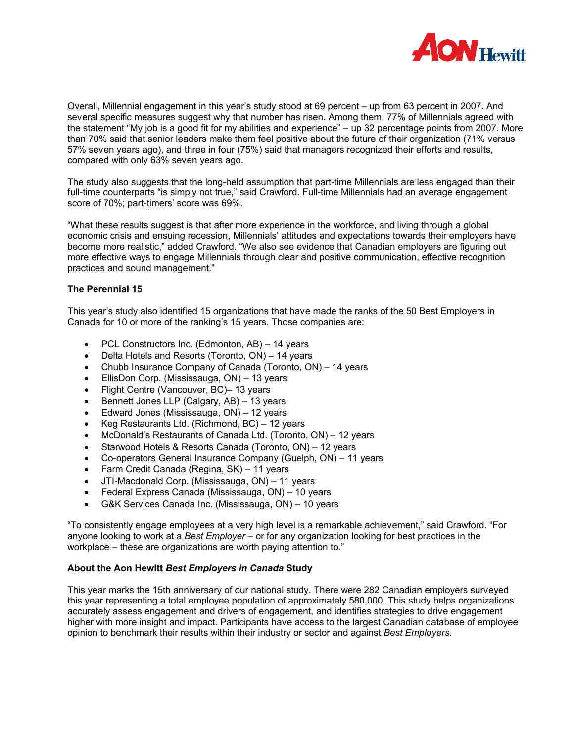

Overall, Millennial engagement in this year's study stood at 69 percent – up from 63 percent in 2007. And several specific measures suggest why that number has risen. Among them, 77% of Millennials agreed with the statement "My job is a good fit for my abilities and experience" – up 32 percentage points from 2007. More than 70% said that senior leaders make them feel positive about the future of their organization (71% versus 57% seven years ago), and three in four (75%) said that managers recognized their efforts and results, compared with only 63% seven years ago.

The study also suggests that the long-held assumption that part-time Millennials are less engaged than their full-time counterparts "is simply not true," said Crawford. Full-time Millennials had an average engagement score of 70%; part-timers' score was 69%.

"What these results suggest is that after more experience in the workforce, and living through a global economic crisis and ensuing recession, Millennials' attitudes and expectations towards their employers have become more realistic," added Crawford. "We also see evidence that Canadian employers are figuring out more effective ways to engage Millennials through clear and positive communication, effective recognition practices and sound management."

#### **The Perennial 15**

This year's study also identified 15 organizations that have made the ranks of the 50 Best Employers in Canada for 10 or more of the ranking's 15 years. Those companies are:

- · PCL Constructors Inc. (Edmonton, AB) 14 years
- Delta Hotels and Resorts (Toronto, ON) 14 years
- · Chubb Insurance Company of Canada (Toronto, ON) 14 years
- EllisDon Corp. (Mississauga, ON) 13 years
- · Flight Centre (Vancouver, BC)– 13 years
- · Bennett Jones LLP (Calgary, AB) 13 years
- Edward Jones (Mississauga, ON) 12 years
- · Keg Restaurants Ltd. (Richmond, BC) 12 years
- · McDonald's Restaurants of Canada Ltd. (Toronto, ON) 12 years
- Starwood Hotels & Resorts Canada (Toronto, ON) 12 years
- · Co-operators General Insurance Company (Guelph, ON) 11 years
- Farm Credit Canada (Regina, SK) 11 years
- · JTI-Macdonald Corp. (Mississauga, ON) 11 years
- · Federal Express Canada (Mississauga, ON) 10 years
- G&K Services Canada Inc. (Mississauga, ON) 10 years

"To consistently engage employees at a very high level is a remarkable achievement," said Crawford. "For anyone looking to work at a *Best Employer* – or for any organization looking for best practices in the workplace – these are organizations are worth paying attention to."

#### **About the Aon Hewitt** *Best Employers in Canada* **Study**

This year marks the 15th anniversary of our national study. There were 282 Canadian employers surveyed this year representing a total employee population of approximately 580,000. This study helps organizations accurately assess engagement and drivers of engagement, and identifies strategies to drive engagement higher with more insight and impact. Participants have access to the largest Canadian database of employee opinion to benchmark their results within their industry or sector and against *Best Employers*.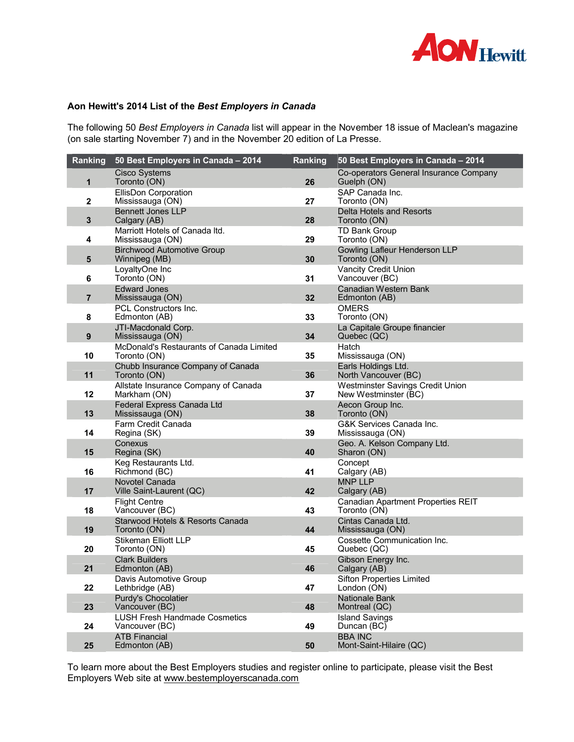

# **Aon Hewitt's 2014 List of the** *Best Employers in Canada*

The following 50 *Best Employers in Canada* list will appear in the November 18 issue of Maclean's magazine (on sale starting November 7) and in the November 20 edition of La Presse.

| Ranking                 | 50 Best Employers in Canada - 2014                       | Ranking | 50 Best Employers in Canada - 2014                              |
|-------------------------|----------------------------------------------------------|---------|-----------------------------------------------------------------|
| $\mathbf{1}$            | <b>Cisco Systems</b><br>Toronto (ON)                     | 26      | Co-operators General Insurance Company<br>Guelph (ON)           |
|                         | EllisDon Corporation                                     |         | SAP Canada Inc.                                                 |
| $\mathbf{2}$            | Mississauga (ON)                                         | 27      | Toronto (ON)                                                    |
| $\overline{\mathbf{3}}$ | <b>Bennett Jones LLP</b><br>Calgary (AB)                 | 28      | Delta Hotels and Resorts<br>Toronto (ON)                        |
| 4                       | Marriott Hotels of Canada Itd.                           | 29      | <b>TD Bank Group</b>                                            |
|                         | Mississauga (ON)<br><b>Birchwood Automotive Group</b>    |         | Toronto (ON)<br>Gowling Lafleur Henderson LLP                   |
| $5\phantom{1}$          | Winnipeg (MB)                                            | 30      | Toronto (ON)                                                    |
| 6                       | LoyaltyOne Inc<br>Toronto (ON)                           | 31      | Vancity Credit Union<br>Vancouver (BC)                          |
|                         | <b>Edward Jones</b>                                      |         | Canadian Western Bank                                           |
| $\overline{7}$          | Mississauga (ON)                                         | 32      | Edmonton (AB)                                                   |
| 8                       | <b>PCL Constructors Inc.</b><br>Edmonton (AB)            | 33      | <b>OMERS</b><br>Toronto (ON)                                    |
|                         | JTI-Macdonald Corp.                                      |         | La Capitale Groupe financier                                    |
| 9                       | Mississauga (ON)                                         | 34      | Quebec (QC)                                                     |
| 10                      | McDonald's Restaurants of Canada Limited<br>Toronto (ON) | 35      | Hatch<br>Mississauga (ON)                                       |
|                         | Chubb Insurance Company of Canada                        |         | Earls Holdings Ltd.                                             |
| 11                      | Toronto (ON)                                             | 36      | North Vancouver (BC)                                            |
| 12                      | Allstate Insurance Company of Canada<br>Markham (ON)     | 37      | <b>Westminster Savings Credit Union</b><br>New Westminster (BC) |
| 13                      | Federal Express Canada Ltd<br>Mississauga (ON)           | 38      | Aecon Group Inc.<br>Toronto (ON)                                |
|                         | Farm Credit Canada                                       |         | G&K Services Canada Inc.                                        |
| 14                      | Regina (SK)                                              | 39      | Mississauga (ON)                                                |
| 15                      | Conexus<br>Regina (SK)                                   | 40      | Geo. A. Kelson Company Ltd.<br>Sharon (ON)                      |
|                         | Keg Restaurants Ltd.                                     |         | Concept                                                         |
| 16                      | Richmond (BC)                                            | 41      | Calgary (AB)                                                    |
|                         | Novotel Canada                                           |         | <b>MNP LLP</b>                                                  |
| 17                      | Ville Saint-Laurent (QC)<br><b>Flight Centre</b>         | 42      | Calgary (AB)<br>Canadian Apartment Properties REIT              |
| 18                      | Vancouver (BC)                                           | 43      | Toronto (ON)                                                    |
|                         | Starwood Hotels & Resorts Canada                         |         | Cintas Canada Ltd.                                              |
| 19                      | Toronto (ON)<br><b>Stikeman Elliott LLP</b>              | 44      | Mississauga (ON)<br>Cossette Communication Inc.                 |
| 20                      | Toronto (ON)                                             | 45      | Quebec (QC)                                                     |
| 21                      | <b>Clark Builders</b>                                    | 46      | Gibson Energy Inc.                                              |
|                         | Edmonton (AB)<br>Davis Automotive Group                  |         | Calgary (AB)<br><b>Sifton Properties Limited</b>                |
| 22                      | Lethbridge (AB)                                          | 47      | London (ON)                                                     |
| 23                      | Purdy's Chocolatier<br>Vancouver (BC)                    | 48      | Nationale Bank<br>Montreal (QC)                                 |
|                         | <b>LUSH Fresh Handmade Cosmetics</b>                     |         | <b>Island Savings</b>                                           |
| 24                      | Vancouver (BC)                                           | 49      | Duncan (BC)                                                     |
| 25                      | <b>ATB Financial</b><br>Edmonton (AB)                    | 50      | <b>BBA INC</b><br>Mont-Saint-Hilaire (QC)                       |

To learn more about the Best Employers studies and register online to participate, please visit the Best Employers Web site at www.bestemployerscanada.com